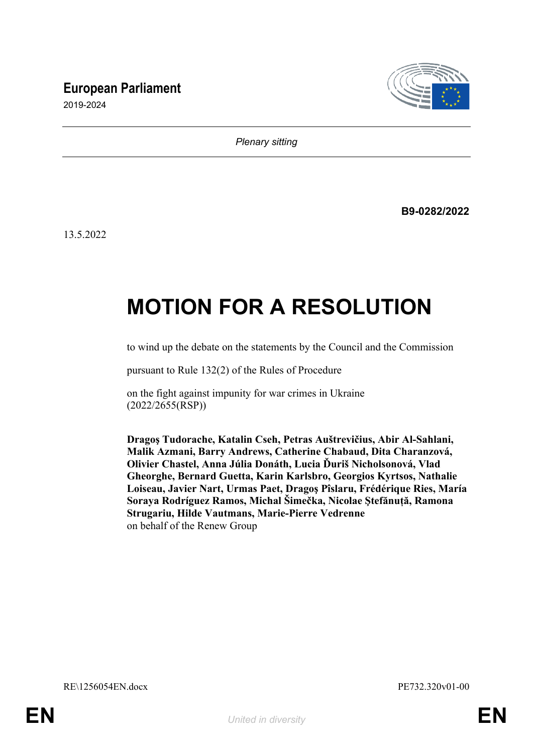## **European Parliament**



2019-2024

*Plenary sitting*

**B9-0282/2022**

13.5.2022

# **MOTION FOR A RESOLUTION**

to wind up the debate on the statements by the Council and the Commission

pursuant to Rule 132(2) of the Rules of Procedure

on the fight against impunity for war crimes in Ukraine (2022/2655(RSP))

**Dragoş Tudorache, Katalin Cseh, Petras Auštrevičius, Abir Al-Sahlani, Malik Azmani, Barry Andrews, Catherine Chabaud, Dita Charanzová, Olivier Chastel, Anna Júlia Donáth, Lucia Ďuriš Nicholsonová, Vlad Gheorghe, Bernard Guetta, Karin Karlsbro, Georgios Kyrtsos, Nathalie Loiseau, Javier Nart, Urmas Paet, Dragoş Pîslaru, Frédérique Ries, María Soraya Rodríguez Ramos, Michal Šimečka, Nicolae Ştefănuță, Ramona Strugariu, Hilde Vautmans, Marie-Pierre Vedrenne** on behalf of the Renew Group

RE\1256054EN.docx PE732.320v01-00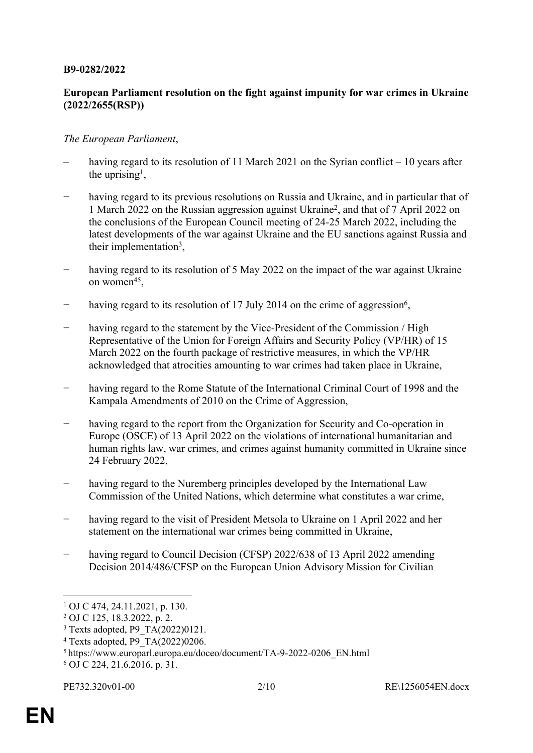#### **B9-0282/2022**

### **European Parliament resolution on the fight against impunity for war crimes in Ukraine (2022/2655(RSP))**

#### *The European Parliament*,

- having regard to its resolution of 11 March 2021 on the Syrian conflict 10 years after the uprising<sup>1</sup>,
- having regard to its previous resolutions on Russia and Ukraine, and in particular that of 1 March 2022 on the Russian aggression against Ukraine<sup>2</sup> , and that of 7 April 2022 on the conclusions of the European Council meeting of 24-25 March 2022, including the latest developments of the war against Ukraine and the EU sanctions against Russia and their implementation<sup>3</sup>,
- having regard to its resolution of 5 May 2022 on the impact of the war against Ukraine on women<sup>45</sup>,
- − having regard to its resolution of 17 July 2014 on the crime of aggression<sup>6</sup>,
- having regard to the statement by the Vice-President of the Commission / High Representative of the Union for Foreign Affairs and Security Policy (VP/HR) of 15 March 2022 on the fourth package of restrictive measures, in which the VP/HR acknowledged that atrocities amounting to war crimes had taken place in Ukraine,
- having regard to the Rome Statute of the International Criminal Court of 1998 and the Kampala Amendments of 2010 on the Crime of Aggression,
- having regard to the report from the Organization for Security and Co-operation in Europe (OSCE) of 13 April 2022 on the violations of international humanitarian and human rights law, war crimes, and crimes against humanity committed in Ukraine since 24 February 2022,
- having regard to the Nuremberg principles developed by the International Law Commission of the United Nations, which determine what constitutes a war crime,
- − having regard to the visit of President Metsola to Ukraine on 1 April 2022 and her statement on the international war crimes being committed in Ukraine,
- having regard to Council Decision (CFSP) 2022/638 of 13 April 2022 amending Decision 2014/486/CFSP on the European Union Advisory Mission for Civilian

<sup>5</sup>https://www.europarl.europa.eu/doceo/document/TA-9-2022-0206\_EN.html 6 OJ C 224, 21.6.2016, p. 31.

<sup>1</sup> OJ C 474, 24.11.2021, p. 130.

<sup>2</sup> OJ C 125, 18.3.2022, p. 2.

<sup>3</sup> Texts adopted, P9\_TA(2022)0121.

<sup>4</sup> Texts adopted, P9\_TA(2022)0206.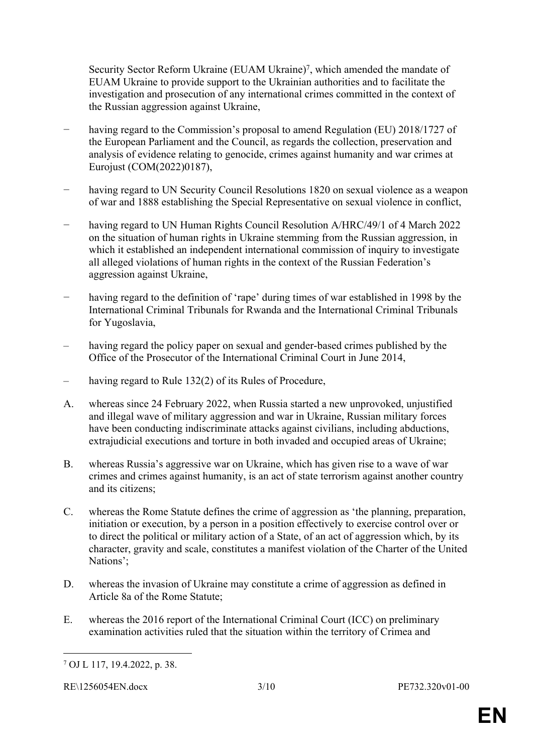Security Sector Reform Ukraine (EUAM Ukraine)<sup>7</sup>, which amended the mandate of EUAM Ukraine to provide support to the Ukrainian authorities and to facilitate the investigation and prosecution of any international crimes committed in the context of the Russian aggression against Ukraine,

- having regard to the Commission's proposal to amend Regulation (EU) 2018/1727 of the European Parliament and the Council, as regards the collection, preservation and analysis of evidence relating to genocide, crimes against humanity and war crimes at Eurojust (COM(2022)0187),
- having regard to UN Security Council Resolutions 1820 on sexual violence as a weapon of war and 1888 establishing the Special Representative on sexual violence in conflict,
- − having regard to UN Human Rights Council Resolution A/HRC/49/1 of 4 March 2022 on the situation of human rights in Ukraine stemming from the Russian aggression, in which it established an independent international commission of inquiry to investigate all alleged violations of human rights in the context of the Russian Federation's aggression against Ukraine,
- having regard to the definition of 'rape' during times of war established in 1998 by the International Criminal Tribunals for Rwanda and the International Criminal Tribunals for Yugoslavia,
- having regard the policy paper on sexual and gender-based crimes published by the Office of the Prosecutor of the International Criminal Court in June 2014,
- having regard to Rule 132(2) of its Rules of Procedure,
- A. whereas since 24 February 2022, when Russia started a new unprovoked, unjustified and illegal wave of military aggression and war in Ukraine, Russian military forces have been conducting indiscriminate attacks against civilians, including abductions, extrajudicial executions and torture in both invaded and occupied areas of Ukraine;
- B. whereas Russia's aggressive war on Ukraine, which has given rise to a wave of war crimes and crimes against humanity, is an act of state terrorism against another country and its citizens;
- C. whereas the Rome Statute defines the crime of aggression as 'the planning, preparation, initiation or execution, by a person in a position effectively to exercise control over or to direct the political or military action of a State, of an act of aggression which, by its character, gravity and scale, constitutes a manifest violation of the Charter of the United Nations';
- D. whereas the invasion of Ukraine may constitute a crime of aggression as defined in Article 8a of the Rome Statute;
- E. whereas the 2016 report of the International Criminal Court (ICC) on preliminary examination activities ruled that the situation within the territory of Crimea and

<sup>7</sup> OJ L 117, 19.4.2022, p. 38.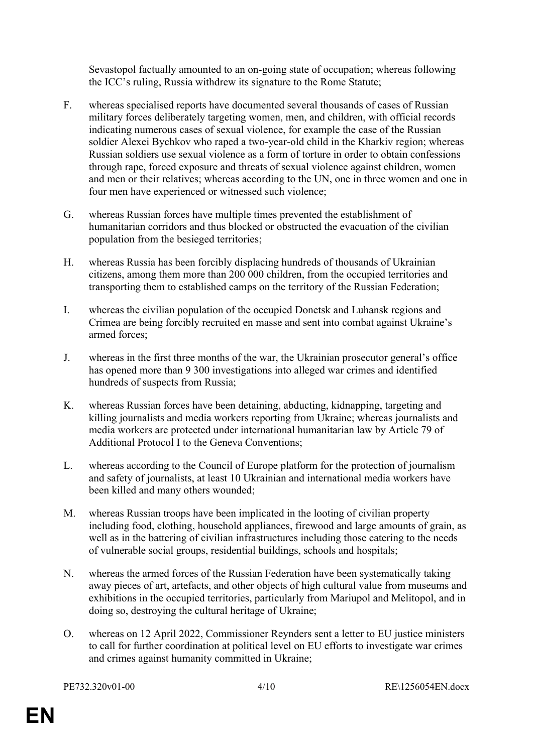Sevastopol factually amounted to an on-going state of occupation; whereas following the ICC's ruling, Russia withdrew its signature to the Rome Statute;

- F. whereas specialised reports have documented several thousands of cases of Russian military forces deliberately targeting women, men, and children, with official records indicating numerous cases of sexual violence, for example the case of the Russian soldier Alexei Bychkov who raped a two-year-old child in the Kharkiv region; whereas Russian soldiers use sexual violence as a form of torture in order to obtain confessions through rape, forced exposure and threats of sexual violence against children, women and men or their relatives; whereas according to the UN, one in three women and one in four men have experienced or witnessed such violence;
- G. whereas Russian forces have multiple times prevented the establishment of humanitarian corridors and thus blocked or obstructed the evacuation of the civilian population from the besieged territories;
- H. whereas Russia has been forcibly displacing hundreds of thousands of Ukrainian citizens, among them more than 200 000 children, from the occupied territories and transporting them to established camps on the territory of the Russian Federation;
- I. whereas the civilian population of the occupied Donetsk and Luhansk regions and Crimea are being forcibly recruited en masse and sent into combat against Ukraine's armed forces;
- J. whereas in the first three months of the war, the Ukrainian prosecutor general's office has opened more than 9 300 investigations into alleged war crimes and identified hundreds of suspects from Russia;
- K. whereas Russian forces have been detaining, abducting, kidnapping, targeting and killing journalists and media workers reporting from Ukraine; whereas journalists and media workers are protected under international humanitarian law by Article 79 of Additional Protocol I to the Geneva Conventions;
- L. whereas according to the Council of Europe platform for the protection of journalism and safety of journalists, at least 10 Ukrainian and international media workers have been killed and many others wounded;
- M. whereas Russian troops have been implicated in the looting of civilian property including food, clothing, household appliances, firewood and large amounts of grain, as well as in the battering of civilian infrastructures including those catering to the needs of vulnerable social groups, residential buildings, schools and hospitals;
- N. whereas the armed forces of the Russian Federation have been systematically taking away pieces of art, artefacts, and other objects of high cultural value from museums and exhibitions in the occupied territories, particularly from Mariupol and Melitopol, and in doing so, destroying the cultural heritage of Ukraine;
- O. whereas on 12 April 2022, Commissioner Reynders sent a letter to EU justice ministers to call for further coordination at political level on EU efforts to investigate war crimes and crimes against humanity committed in Ukraine;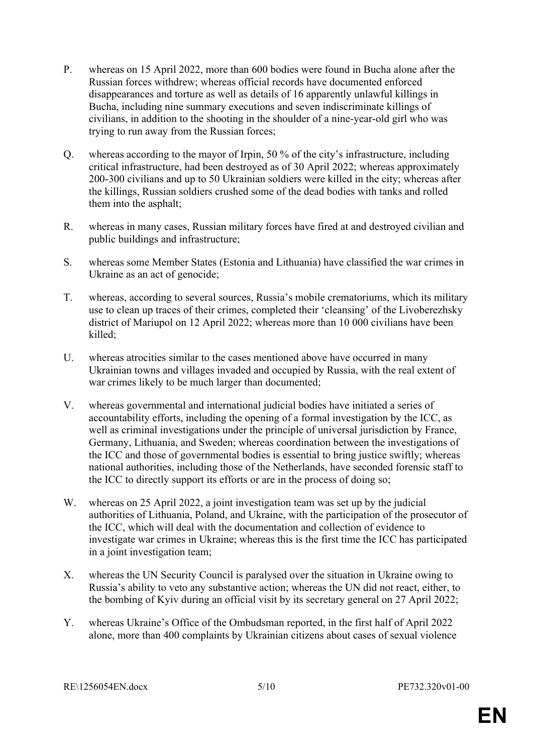- P. whereas on 15 April 2022, more than 600 bodies were found in Bucha alone after the Russian forces withdrew; whereas official records have documented enforced disappearances and torture as well as details of 16 apparently unlawful killings in Bucha, including nine summary executions and seven indiscriminate killings of civilians, in addition to the shooting in the shoulder of a nine-year-old girl who was trying to run away from the Russian forces;
- Q. whereas according to the mayor of Irpin, 50 % of the city's infrastructure, including critical infrastructure, had been destroyed as of 30 April 2022; whereas approximately 200-300 civilians and up to 50 Ukrainian soldiers were killed in the city; whereas after the killings, Russian soldiers crushed some of the dead bodies with tanks and rolled them into the asphalt;
- R. whereas in many cases, Russian military forces have fired at and destroyed civilian and public buildings and infrastructure;
- S. whereas some Member States (Estonia and Lithuania) have classified the war crimes in Ukraine as an act of genocide;
- T. whereas, according to several sources, Russia's mobile crematoriums, which its military use to clean up traces of their crimes, completed their 'cleansing' of the Livoberezhsky district of Mariupol on 12 April 2022; whereas more than 10 000 civilians have been killed<sup>.</sup>
- U. whereas atrocities similar to the cases mentioned above have occurred in many Ukrainian towns and villages invaded and occupied by Russia, with the real extent of war crimes likely to be much larger than documented;
- V. whereas governmental and international judicial bodies have initiated a series of accountability efforts, including the opening of a formal investigation by the ICC, as well as criminal investigations under the principle of universal jurisdiction by France, Germany, Lithuania, and Sweden; whereas coordination between the investigations of the ICC and those of governmental bodies is essential to bring justice swiftly; whereas national authorities, including those of the Netherlands, have seconded forensic staff to the ICC to directly support its efforts or are in the process of doing so;
- W. whereas on 25 April 2022, a joint investigation team was set up by the judicial authorities of Lithuania, Poland, and Ukraine, with the participation of the prosecutor of the ICC, which will deal with the documentation and collection of evidence to investigate war crimes in Ukraine; whereas this is the first time the ICC has participated in a joint investigation team;
- X. whereas the UN Security Council is paralysed over the situation in Ukraine owing to Russia's ability to veto any substantive action; whereas the UN did not react, either, to the bombing of Kyiv during an official visit by its secretary general on 27 April 2022;
- Y. whereas Ukraine's Office of the Ombudsman reported, in the first half of April 2022 alone, more than 400 complaints by Ukrainian citizens about cases of sexual violence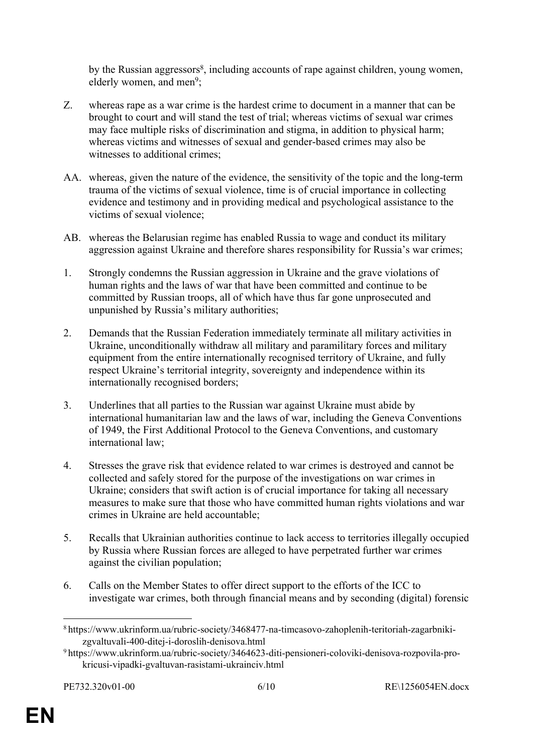by the Russian aggressors<sup>8</sup>, including accounts of rape against children, young women, elderly women, and men<sup>9</sup>;

- Z. whereas rape as a war crime is the hardest crime to document in a manner that can be brought to court and will stand the test of trial; whereas victims of sexual war crimes may face multiple risks of discrimination and stigma, in addition to physical harm; whereas victims and witnesses of sexual and gender-based crimes may also be witnesses to additional crimes:
- AA. whereas, given the nature of the evidence, the sensitivity of the topic and the long-term trauma of the victims of sexual violence, time is of crucial importance in collecting evidence and testimony and in providing medical and psychological assistance to the victims of sexual violence;
- AB. whereas the Belarusian regime has enabled Russia to wage and conduct its military aggression against Ukraine and therefore shares responsibility for Russia's war crimes;
- 1. Strongly condemns the Russian aggression in Ukraine and the grave violations of human rights and the laws of war that have been committed and continue to be committed by Russian troops, all of which have thus far gone unprosecuted and unpunished by Russia's military authorities;
- 2. Demands that the Russian Federation immediately terminate all military activities in Ukraine, unconditionally withdraw all military and paramilitary forces and military equipment from the entire internationally recognised territory of Ukraine, and fully respect Ukraine's territorial integrity, sovereignty and independence within its internationally recognised borders;
- 3. Underlines that all parties to the Russian war against Ukraine must abide by international humanitarian law and the laws of war, including the Geneva Conventions of 1949, the First Additional Protocol to the Geneva Conventions, and customary international law;
- 4. Stresses the grave risk that evidence related to war crimes is destroyed and cannot be collected and safely stored for the purpose of the investigations on war crimes in Ukraine; considers that swift action is of crucial importance for taking all necessary measures to make sure that those who have committed human rights violations and war crimes in Ukraine are held accountable;
- 5. Recalls that Ukrainian authorities continue to lack access to territories illegally occupied by Russia where Russian forces are alleged to have perpetrated further war crimes against the civilian population;
- 6. Calls on the Member States to offer direct support to the efforts of the ICC to investigate war crimes, both through financial means and by seconding (digital) forensic

<sup>8</sup> https://www.ukrinform.ua/rubric-society/3468477-na-timcasovo-zahoplenih-teritoriah-zagarbnikizgvaltuvali-400-ditej-i-doroslih-denisova.html

<sup>9</sup> https://www.ukrinform.ua/rubric-society/3464623-diti-pensioneri-coloviki-denisova-rozpovila-prokricusi-vipadki-gvaltuvan-rasistami-ukrainciv.html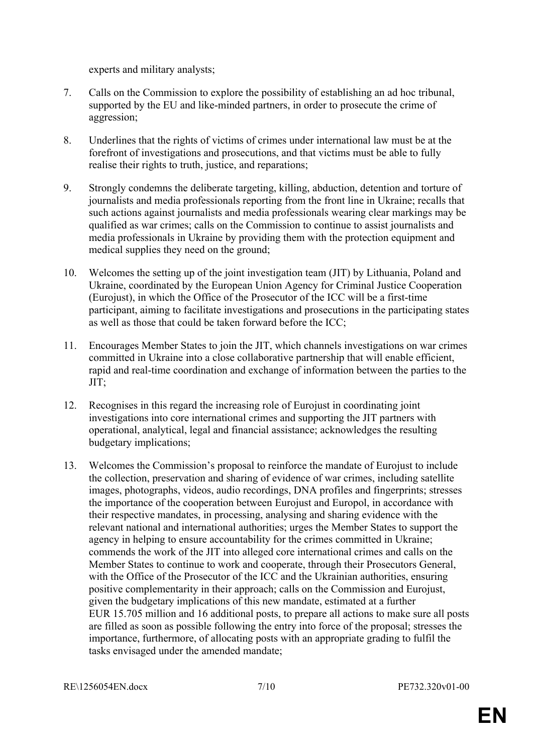experts and military analysts;

- 7. Calls on the Commission to explore the possibility of establishing an ad hoc tribunal, supported by the EU and like-minded partners, in order to prosecute the crime of aggression;
- 8. Underlines that the rights of victims of crimes under international law must be at the forefront of investigations and prosecutions, and that victims must be able to fully realise their rights to truth, justice, and reparations;
- 9. Strongly condemns the deliberate targeting, killing, abduction, detention and torture of journalists and media professionals reporting from the front line in Ukraine; recalls that such actions against journalists and media professionals wearing clear markings may be qualified as war crimes; calls on the Commission to continue to assist journalists and media professionals in Ukraine by providing them with the protection equipment and medical supplies they need on the ground;
- 10. Welcomes the setting up of the joint investigation team (JIT) by Lithuania, Poland and Ukraine, coordinated by the European Union Agency for Criminal Justice Cooperation (Eurojust), in which the Office of the Prosecutor of the ICC will be a first-time participant, aiming to facilitate investigations and prosecutions in the participating states as well as those that could be taken forward before the ICC;
- 11. Encourages Member States to join the JIT, which channels investigations on war crimes committed in Ukraine into a close collaborative partnership that will enable efficient, rapid and real-time coordination and exchange of information between the parties to the JIT;
- 12. Recognises in this regard the increasing role of Eurojust in coordinating joint investigations into core international crimes and supporting the JIT partners with operational, analytical, legal and financial assistance; acknowledges the resulting budgetary implications;
- 13. Welcomes the Commission's proposal to reinforce the mandate of Eurojust to include the collection, preservation and sharing of evidence of war crimes, including satellite images, photographs, videos, audio recordings, DNA profiles and fingerprints; stresses the importance of the cooperation between Eurojust and Europol, in accordance with their respective mandates, in processing, analysing and sharing evidence with the relevant national and international authorities; urges the Member States to support the agency in helping to ensure accountability for the crimes committed in Ukraine; commends the work of the JIT into alleged core international crimes and calls on the Member States to continue to work and cooperate, through their Prosecutors General, with the Office of the Prosecutor of the ICC and the Ukrainian authorities, ensuring positive complementarity in their approach; calls on the Commission and Eurojust, given the budgetary implications of this new mandate, estimated at a further EUR 15.705 million and 16 additional posts, to prepare all actions to make sure all posts are filled as soon as possible following the entry into force of the proposal; stresses the importance, furthermore, of allocating posts with an appropriate grading to fulfil the tasks envisaged under the amended mandate;

RE\1256054EN.docx 7/10 PE732.320v01-00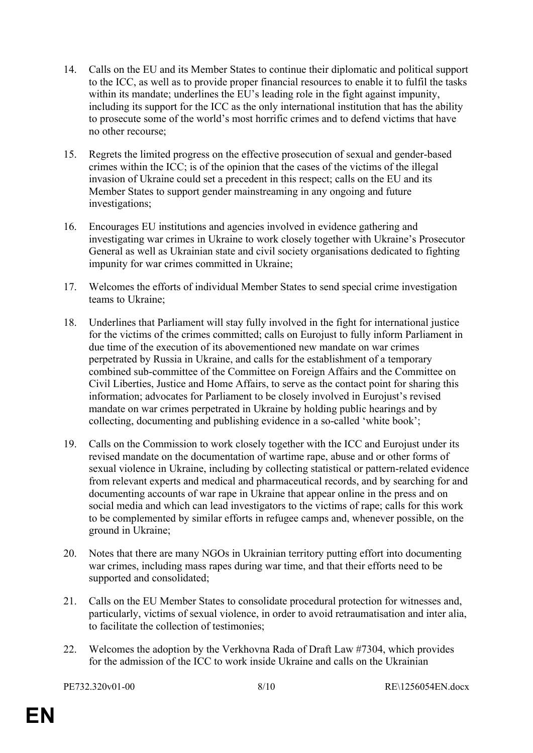- 14. Calls on the EU and its Member States to continue their diplomatic and political support to the ICC, as well as to provide proper financial resources to enable it to fulfil the tasks within its mandate; underlines the EU's leading role in the fight against impunity, including its support for the ICC as the only international institution that has the ability to prosecute some of the world's most horrific crimes and to defend victims that have no other recourse;
- 15. Regrets the limited progress on the effective prosecution of sexual and gender-based crimes within the ICC; is of the opinion that the cases of the victims of the illegal invasion of Ukraine could set a precedent in this respect; calls on the EU and its Member States to support gender mainstreaming in any ongoing and future investigations;
- 16. Encourages EU institutions and agencies involved in evidence gathering and investigating war crimes in Ukraine to work closely together with Ukraine's Prosecutor General as well as Ukrainian state and civil society organisations dedicated to fighting impunity for war crimes committed in Ukraine;
- 17. Welcomes the efforts of individual Member States to send special crime investigation teams to Ukraine;
- 18. Underlines that Parliament will stay fully involved in the fight for international justice for the victims of the crimes committed; calls on Eurojust to fully inform Parliament in due time of the execution of its abovementioned new mandate on war crimes perpetrated by Russia in Ukraine, and calls for the establishment of a temporary combined sub-committee of the Committee on Foreign Affairs and the Committee on Civil Liberties, Justice and Home Affairs, to serve as the contact point for sharing this information; advocates for Parliament to be closely involved in Eurojust's revised mandate on war crimes perpetrated in Ukraine by holding public hearings and by collecting, documenting and publishing evidence in a so-called 'white book';
- 19. Calls on the Commission to work closely together with the ICC and Eurojust under its revised mandate on the documentation of wartime rape, abuse and or other forms of sexual violence in Ukraine, including by collecting statistical or pattern-related evidence from relevant experts and medical and pharmaceutical records, and by searching for and documenting accounts of war rape in Ukraine that appear online in the press and on social media and which can lead investigators to the victims of rape; calls for this work to be complemented by similar efforts in refugee camps and, whenever possible, on the ground in Ukraine;
- 20. Notes that there are many NGOs in Ukrainian territory putting effort into documenting war crimes, including mass rapes during war time, and that their efforts need to be supported and consolidated;
- 21. Calls on the EU Member States to consolidate procedural protection for witnesses and, particularly, victims of sexual violence, in order to avoid retraumatisation and inter alia, to facilitate the collection of testimonies;
- 22. Welcomes the adoption by the Verkhovna Rada of Draft Law #7304, which provides for the admission of the ICC to work inside Ukraine and calls on the Ukrainian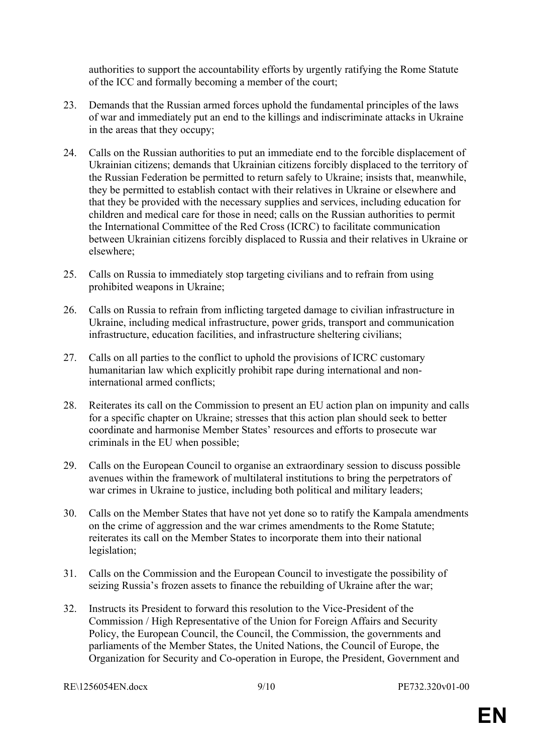authorities to support the accountability efforts by urgently ratifying the Rome Statute of the ICC and formally becoming a member of the court;

- 23. Demands that the Russian armed forces uphold the fundamental principles of the laws of war and immediately put an end to the killings and indiscriminate attacks in Ukraine in the areas that they occupy;
- 24. Calls on the Russian authorities to put an immediate end to the forcible displacement of Ukrainian citizens; demands that Ukrainian citizens forcibly displaced to the territory of the Russian Federation be permitted to return safely to Ukraine; insists that, meanwhile, they be permitted to establish contact with their relatives in Ukraine or elsewhere and that they be provided with the necessary supplies and services, including education for children and medical care for those in need; calls on the Russian authorities to permit the International Committee of the Red Cross (ICRC) to facilitate communication between Ukrainian citizens forcibly displaced to Russia and their relatives in Ukraine or elsewhere;
- 25. Calls on Russia to immediately stop targeting civilians and to refrain from using prohibited weapons in Ukraine;
- 26. Calls on Russia to refrain from inflicting targeted damage to civilian infrastructure in Ukraine, including medical infrastructure, power grids, transport and communication infrastructure, education facilities, and infrastructure sheltering civilians;
- 27. Calls on all parties to the conflict to uphold the provisions of ICRC customary humanitarian law which explicitly prohibit rape during international and noninternational armed conflicts;
- 28. Reiterates its call on the Commission to present an EU action plan on impunity and calls for a specific chapter on Ukraine; stresses that this action plan should seek to better coordinate and harmonise Member States' resources and efforts to prosecute war criminals in the EU when possible;
- 29. Calls on the European Council to organise an extraordinary session to discuss possible avenues within the framework of multilateral institutions to bring the perpetrators of war crimes in Ukraine to justice, including both political and military leaders;
- 30. Calls on the Member States that have not yet done so to ratify the Kampala amendments on the crime of aggression and the war crimes amendments to the Rome Statute; reiterates its call on the Member States to incorporate them into their national legislation;
- 31. Calls on the Commission and the European Council to investigate the possibility of seizing Russia's frozen assets to finance the rebuilding of Ukraine after the war;
- 32. Instructs its President to forward this resolution to the Vice-President of the Commission / High Representative of the Union for Foreign Affairs and Security Policy, the European Council, the Council, the Commission, the governments and parliaments of the Member States, the United Nations, the Council of Europe, the Organization for Security and Co-operation in Europe, the President, Government and